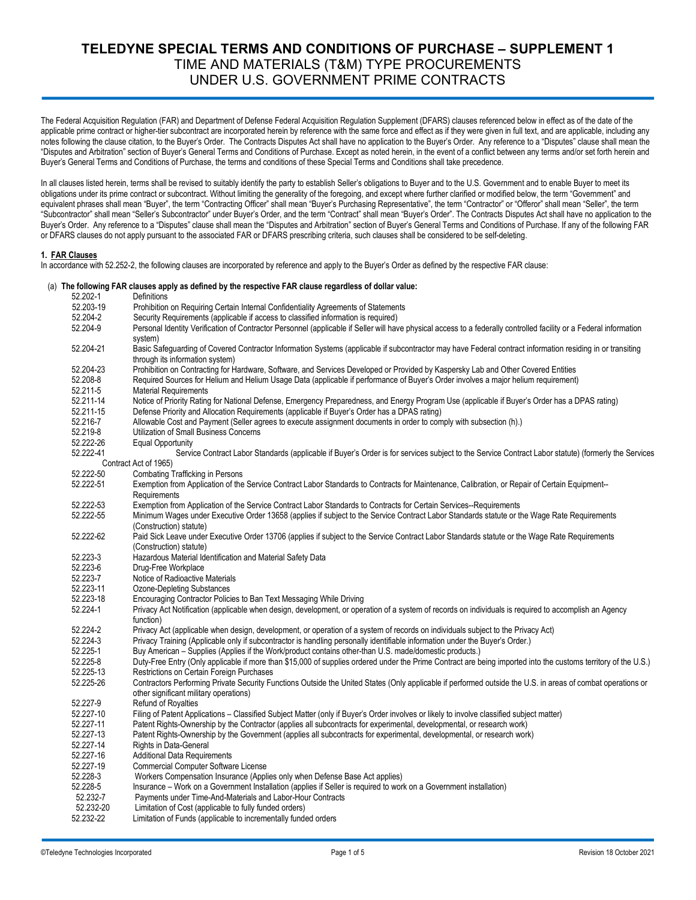# **TELEDYNE SPECIAL TERMS AND CONDITIONS OF PURCHASE – SUPPLEMENT 1** TIME AND MATERIALS (T&M) TYPE PROCUREMENTS UNDER U.S. GOVERNMENT PRIME CONTRACTS

The Federal Acquisition Regulation (FAR) and Department of Defense Federal Acquisition Regulation Supplement (DFARS) clauses referenced below in effect as of the date of the applicable prime contract or higher-tier subcontract are incorporated herein by reference with the same force and effect as if they were given in full text, and are applicable, including any notes following the clause citation, to the Buyer's Order. The Contracts Disputes Act shall have no application to the Buyer's Order. Any reference to a "Disputes" clause shall mean the "Disputes and Arbitration" section of Buyer's General Terms and Conditions of Purchase. Except as noted herein, in the event of a conflict between any terms and/or set forth herein and Buyer's General Terms and Conditions of Purchase, the terms and conditions of these Special Terms and Conditions shall take precedence.

In all clauses listed herein, terms shall be revised to suitably identify the party to establish Seller's obligations to Buyer and to the U.S. Government and to enable Buyer to meet its obligations under its prime contract or subcontract. Without limiting the generality of the foregoing, and except where further clarified or modified below, the term "Government" and equivalent phrases shall mean "Buyer", the term "Contracting Officer" shall mean "Buyer's Purchasing Representative", the term "Contractor" or "Offeror" shall mean "Seller", the term "Subcontractor" shall mean "Seller's Subcontractor" under Buyer's Order, and the term "Contract" shall mean "Buyer's Order". The Contracts Disputes Act shall have no application to the Buyer's Order. Any reference to a "Disputes" clause shall mean the "Disputes and Arbitration" section of Buyer's General Terms and Conditions of Purchase. If any of the following FAR or DFARS clauses do not apply pursuant to the associated FAR or DFARS prescribing criteria, such clauses shall be considered to be self-deleting.

### **1. FAR Clauses**

 $52.2024$  Definitions

In accordance with 52.252-2, the following clauses are incorporated by reference and apply to the Buyer's Order as defined by the respective FAR clause:

#### (a) **The following FAR clauses apply as defined by the respective FAR clause regardless of dollar value:**

| JL.ZUL-T               |                                                                                                                                                                                              |
|------------------------|----------------------------------------------------------------------------------------------------------------------------------------------------------------------------------------------|
| 52.203-19              | Prohibition on Requiring Certain Internal Confidentiality Agreements of Statements                                                                                                           |
| 52.204-2               | Security Requirements (applicable if access to classified information is required)                                                                                                           |
| 52.204-9               | Personal Identity Verification of Contractor Personnel (applicable if Seller will have physical access to a federally controlled facility or a Federal information<br>system)                |
| 52.204-21              | Basic Safeguarding of Covered Contractor Information Systems (applicable if subcontractor may have Federal contract information residing in or transiting<br>through its information system) |
| 52.204-23              | Prohibition on Contracting for Hardware, Software, and Services Developed or Provided by Kaspersky Lab and Other Covered Entities                                                            |
| 52.208-8               | Required Sources for Helium and Helium Usage Data (applicable if performance of Buyer's Order involves a major helium requirement)                                                           |
| 52.211-5               | <b>Material Requirements</b>                                                                                                                                                                 |
| 52.211-14              | Notice of Priority Rating for National Defense, Emergency Preparedness, and Energy Program Use (applicable if Buyer's Order has a DPAS rating)                                               |
| 52.211-15              | Defense Priority and Allocation Requirements (applicable if Buyer's Order has a DPAS rating)                                                                                                 |
| 52.216-7               | Allowable Cost and Payment (Seller agrees to execute assignment documents in order to comply with subsection (h).)                                                                           |
| 52.219-8               | Utilization of Small Business Concerns                                                                                                                                                       |
| 52.222-26              | <b>Equal Opportunity</b>                                                                                                                                                                     |
| 52.222-41              | Service Contract Labor Standards (applicable if Buyer's Order is for services subject to the Service Contract Labor statute) (formerly the Services                                          |
|                        | Contract Act of 1965)                                                                                                                                                                        |
| 52.222-50              | <b>Combating Trafficking in Persons</b>                                                                                                                                                      |
| 52.222-51              | Exemption from Application of the Service Contract Labor Standards to Contracts for Maintenance, Calibration, or Repair of Certain Equipment--<br>Requirements                               |
| 52.222-53              | Exemption from Application of the Service Contract Labor Standards to Contracts for Certain Services--Requirements                                                                           |
| 52.222-55              | Minimum Wages under Executive Order 13658 (applies if subject to the Service Contract Labor Standards statute or the Wage Rate Requirements<br>(Construction) statute)                       |
| 52.222-62              | Paid Sick Leave under Executive Order 13706 (applies if subject to the Service Contract Labor Standards statute or the Wage Rate Requirements<br>(Construction) statute)                     |
| 52.223-3               | Hazardous Material Identification and Material Safety Data                                                                                                                                   |
| 52.223-6               | Drug-Free Workplace                                                                                                                                                                          |
| 52.223-7               | Notice of Radioactive Materials                                                                                                                                                              |
| 52.223-11              | <b>Ozone-Depleting Substances</b>                                                                                                                                                            |
| 52.223-18              | Encouraging Contractor Policies to Ban Text Messaging While Driving                                                                                                                          |
| 52.224-1               | Privacy Act Notification (applicable when design, development, or operation of a system of records on individuals is required to accomplish an Agency                                        |
|                        | function)                                                                                                                                                                                    |
| 52.224-2               | Privacy Act (applicable when design, development, or operation of a system of records on individuals subject to the Privacy Act)                                                             |
| 52.224-3               | Privacy Training (Applicable only if subcontractor is handling personally identifiable information under the Buyer's Order.)                                                                 |
| 52.225-1               | Buy American – Supplies (Applies if the Work/product contains other-than U.S. made/domestic products.)                                                                                       |
| 52.225-8               | Duty-Free Entry (Only applicable if more than \$15,000 of supplies ordered under the Prime Contract are being imported into the customs territory of the U.S.)                               |
| 52.225-13              | Restrictions on Certain Foreign Purchases                                                                                                                                                    |
| 52.225-26              | Contractors Performing Private Security Functions Outside the United States (Only applicable if performed outside the U.S. in areas of combat operations or                                  |
|                        | other significant military operations)                                                                                                                                                       |
| 52.227-9               | Refund of Royalties                                                                                                                                                                          |
| 52.227-10<br>52.227-11 | Filing of Patent Applications - Classified Subject Matter (only if Buyer's Order involves or likely to involve classified subject matter)                                                    |
|                        | Patent Rights-Ownership by the Contractor (applies all subcontracts for experimental, developmental, or research work)                                                                       |
| 52.227-13              | Patent Rights-Ownership by the Government (applies all subcontracts for experimental, developmental, or research work)                                                                       |
| 52.227-14              | Rights in Data-General                                                                                                                                                                       |
| 52.227-16<br>52.227-19 | <b>Additional Data Requirements</b>                                                                                                                                                          |
|                        | <b>Commercial Computer Software License</b>                                                                                                                                                  |
| 52.228-3               | Workers Compensation Insurance (Applies only when Defense Base Act applies)                                                                                                                  |
| 52.228-5<br>52.232-7   | Insurance - Work on a Government Installation (applies if Seller is required to work on a Government installation)                                                                           |
| 52.232-20              | Payments under Time-And-Materials and Labor-Hour Contracts<br>Limitation of Cost (applicable to fully funded orders)                                                                         |
| 52.232-22              |                                                                                                                                                                                              |
|                        | Limitation of Funds (applicable to incrementally funded orders                                                                                                                               |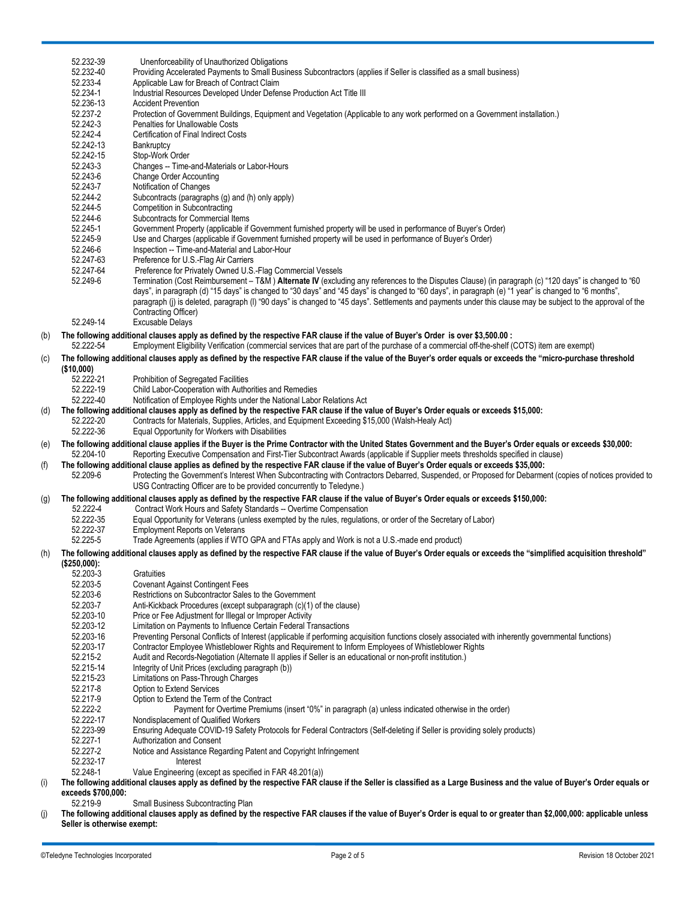|     | 52.232-39                      | Unenforceability of Unauthorized Obligations                                                                                                                                                                                                                                                                                                                                                                                                                                                                                   |
|-----|--------------------------------|--------------------------------------------------------------------------------------------------------------------------------------------------------------------------------------------------------------------------------------------------------------------------------------------------------------------------------------------------------------------------------------------------------------------------------------------------------------------------------------------------------------------------------|
|     | 52.232-40                      | Providing Accelerated Payments to Small Business Subcontractors (applies if Seller is classified as a small business)                                                                                                                                                                                                                                                                                                                                                                                                          |
|     | 52.233-4                       | Applicable Law for Breach of Contract Claim                                                                                                                                                                                                                                                                                                                                                                                                                                                                                    |
|     | 52.234-1                       | Industrial Resources Developed Under Defense Production Act Title III                                                                                                                                                                                                                                                                                                                                                                                                                                                          |
|     | 52.236-13                      | <b>Accident Prevention</b>                                                                                                                                                                                                                                                                                                                                                                                                                                                                                                     |
|     | 52.237-2                       | Protection of Government Buildings, Equipment and Vegetation (Applicable to any work performed on a Government installation.)                                                                                                                                                                                                                                                                                                                                                                                                  |
|     | 52.242-3                       | <b>Penalties for Unallowable Costs</b>                                                                                                                                                                                                                                                                                                                                                                                                                                                                                         |
|     | 52.242-4                       | <b>Certification of Final Indirect Costs</b>                                                                                                                                                                                                                                                                                                                                                                                                                                                                                   |
|     | 52.242-13                      | Bankruptcy                                                                                                                                                                                                                                                                                                                                                                                                                                                                                                                     |
|     | 52.242-15                      | Stop-Work Order                                                                                                                                                                                                                                                                                                                                                                                                                                                                                                                |
|     | 52.243-3                       | Changes -- Time-and-Materials or Labor-Hours                                                                                                                                                                                                                                                                                                                                                                                                                                                                                   |
|     | 52.243-6                       | <b>Change Order Accounting</b><br>Notification of Changes                                                                                                                                                                                                                                                                                                                                                                                                                                                                      |
|     | 52.243-7<br>52.244-2           | Subcontracts (paragraphs (g) and (h) only apply)                                                                                                                                                                                                                                                                                                                                                                                                                                                                               |
|     | 52.244-5                       | Competition in Subcontracting                                                                                                                                                                                                                                                                                                                                                                                                                                                                                                  |
|     | 52.244-6                       | Subcontracts for Commercial Items                                                                                                                                                                                                                                                                                                                                                                                                                                                                                              |
|     | 52.245-1                       | Government Property (applicable if Government furnished property will be used in performance of Buyer's Order)                                                                                                                                                                                                                                                                                                                                                                                                                 |
|     | 52.245-9                       | Use and Charges (applicable if Government furnished property will be used in performance of Buyer's Order)                                                                                                                                                                                                                                                                                                                                                                                                                     |
|     | 52.246-6                       | Inspection -- Time-and-Material and Labor-Hour                                                                                                                                                                                                                                                                                                                                                                                                                                                                                 |
|     | 52.247-63                      | Preference for U.S.-Flag Air Carriers                                                                                                                                                                                                                                                                                                                                                                                                                                                                                          |
|     | 52.247-64                      | Preference for Privately Owned U.S.-Flag Commercial Vessels                                                                                                                                                                                                                                                                                                                                                                                                                                                                    |
|     | 52.249-6<br>52.249-14          | Termination (Cost Reimbursement - T&M) Alternate IV (excluding any references to the Disputes Clause) (in paragraph (c) "120 days" is changed to "60<br>days", in paragraph (d) "15 days" is changed to "30 days" and "45 days" is changed to "60 days", in paragraph (e) "1 year" is changed to "6 months",<br>paragraph (i) is deleted, paragraph (I) "90 days" is changed to "45 days". Settlements and payments under this clause may be subject to the approval of the<br>Contracting Officer)<br><b>Excusable Delays</b> |
|     |                                |                                                                                                                                                                                                                                                                                                                                                                                                                                                                                                                                |
| (b) | 52.222-54                      | The following additional clauses apply as defined by the respective FAR clause if the value of Buyer's Order is over \$3,500.00 :<br>Employment Eligibility Verification (commercial services that are part of the purchase of a commercial off-the-shelf (COTS) item are exempt)                                                                                                                                                                                                                                              |
|     |                                |                                                                                                                                                                                                                                                                                                                                                                                                                                                                                                                                |
| (c) |                                | The following additional clauses apply as defined by the respective FAR clause if the value of the Buyer's order equals or exceeds the "micro-purchase threshold                                                                                                                                                                                                                                                                                                                                                               |
|     | (\$10,000)<br>52.222-21        | Prohibition of Segregated Facilities                                                                                                                                                                                                                                                                                                                                                                                                                                                                                           |
|     | 52.222-19                      | Child Labor-Cooperation with Authorities and Remedies                                                                                                                                                                                                                                                                                                                                                                                                                                                                          |
|     | 52.222-40                      | Notification of Employee Rights under the National Labor Relations Act                                                                                                                                                                                                                                                                                                                                                                                                                                                         |
| (d) |                                | The following additional clauses apply as defined by the respective FAR clause if the value of Buyer's Order equals or exceeds \$15,000:                                                                                                                                                                                                                                                                                                                                                                                       |
|     | 52.222-20                      | Contracts for Materials, Supplies, Articles, and Equipment Exceeding \$15,000 (Walsh-Healy Act)                                                                                                                                                                                                                                                                                                                                                                                                                                |
|     | 52.222-36                      | Equal Opportunity for Workers with Disabilities                                                                                                                                                                                                                                                                                                                                                                                                                                                                                |
| (e) |                                | The following additional clause applies if the Buyer is the Prime Contractor with the United States Government and the Buyer's Order equals or exceeds \$30,000:                                                                                                                                                                                                                                                                                                                                                               |
|     | 52.204-10                      | Reporting Executive Compensation and First-Tier Subcontract Awards (applicable if Supplier meets thresholds specified in clause)                                                                                                                                                                                                                                                                                                                                                                                               |
| (f) |                                | The following additional clause applies as defined by the respective FAR clause if the value of Buyer's Order equals or exceeds \$35,000:                                                                                                                                                                                                                                                                                                                                                                                      |
|     | 52.209-6                       | Protecting the Government's Interest When Subcontracting with Contractors Debarred, Suspended, or Proposed for Debarment (copies of notices provided to                                                                                                                                                                                                                                                                                                                                                                        |
|     |                                | USG Contracting Officer are to be provided concurrently to Teledyne.)                                                                                                                                                                                                                                                                                                                                                                                                                                                          |
| (g) |                                | The following additional clauses apply as defined by the respective FAR clause if the value of Buyer's Order equals or exceeds \$150,000:                                                                                                                                                                                                                                                                                                                                                                                      |
|     | 52.222-4                       | Contract Work Hours and Safety Standards -- Overtime Compensation                                                                                                                                                                                                                                                                                                                                                                                                                                                              |
|     | 52.222-35                      | Equal Opportunity for Veterans (unless exempted by the rules, requiations, or order of the Secretary of Labor)                                                                                                                                                                                                                                                                                                                                                                                                                 |
|     | 52.222-37                      | <b>Employment Reports on Veterans</b>                                                                                                                                                                                                                                                                                                                                                                                                                                                                                          |
|     | 52.225-5                       | Trade Agreements (applies if WTO GPA and FTAs apply and Work is not a U.S.-made end product)                                                                                                                                                                                                                                                                                                                                                                                                                                   |
| (h) |                                | The following additional clauses apply as defined by the respective FAR clause if the value of Buyer's Order equals or exceeds the "simplified acquisition threshold"                                                                                                                                                                                                                                                                                                                                                          |
|     | (\$250,000):                   |                                                                                                                                                                                                                                                                                                                                                                                                                                                                                                                                |
|     | 52.203-3                       | Gratuities                                                                                                                                                                                                                                                                                                                                                                                                                                                                                                                     |
|     | 52.203-5                       | <b>Covenant Against Contingent Fees</b>                                                                                                                                                                                                                                                                                                                                                                                                                                                                                        |
|     | 52.203-6                       | Restrictions on Subcontractor Sales to the Government                                                                                                                                                                                                                                                                                                                                                                                                                                                                          |
|     | 52.203-7                       |                                                                                                                                                                                                                                                                                                                                                                                                                                                                                                                                |
|     |                                | Anti-Kickback Procedures (except subparagraph (c)(1) of the clause)                                                                                                                                                                                                                                                                                                                                                                                                                                                            |
|     | 52.203-10                      | Price or Fee Adjustment for Illegal or Improper Activity                                                                                                                                                                                                                                                                                                                                                                                                                                                                       |
|     | 52.203-12                      | Limitation on Payments to Influence Certain Federal Transactions                                                                                                                                                                                                                                                                                                                                                                                                                                                               |
|     | 52.203-16                      | Preventing Personal Conflicts of Interest (applicable if performing acquisition functions closely associated with inherently governmental functions)                                                                                                                                                                                                                                                                                                                                                                           |
|     | 52.203-17                      | Contractor Employee Whistleblower Rights and Requirement to Inform Employees of Whistleblower Rights                                                                                                                                                                                                                                                                                                                                                                                                                           |
|     | 52.215-2                       | Audit and Records-Negotiation (Alternate II applies if Seller is an educational or non-profit institution.)                                                                                                                                                                                                                                                                                                                                                                                                                    |
|     | 52.215-14                      | Integrity of Unit Prices (excluding paragraph (b))                                                                                                                                                                                                                                                                                                                                                                                                                                                                             |
|     | 52.215-23                      | Limitations on Pass-Through Charges                                                                                                                                                                                                                                                                                                                                                                                                                                                                                            |
|     | 52.217-8                       | Option to Extend Services                                                                                                                                                                                                                                                                                                                                                                                                                                                                                                      |
|     | 52.217-9                       | Option to Extend the Term of the Contract                                                                                                                                                                                                                                                                                                                                                                                                                                                                                      |
|     | 52.222-2                       | Payment for Overtime Premiums (insert "0%" in paragraph (a) unless indicated otherwise in the order)                                                                                                                                                                                                                                                                                                                                                                                                                           |
|     | 52.222-17                      | Nondisplacement of Qualified Workers                                                                                                                                                                                                                                                                                                                                                                                                                                                                                           |
|     | 52.223-99                      | Ensuring Adequate COVID-19 Safety Protocols for Federal Contractors (Self-deleting if Seller is providing solely products)                                                                                                                                                                                                                                                                                                                                                                                                     |
|     | 52.227-1                       | Authorization and Consent                                                                                                                                                                                                                                                                                                                                                                                                                                                                                                      |
|     | 52.227-2                       | Notice and Assistance Regarding Patent and Copyright Infringement<br>Interest                                                                                                                                                                                                                                                                                                                                                                                                                                                  |
|     | 52.232-17<br>52.248-1          |                                                                                                                                                                                                                                                                                                                                                                                                                                                                                                                                |
| (i) |                                | Value Engineering (except as specified in FAR 48.201(a))<br>The following additional clauses apply as defined by the respective FAR clause if the Seller is classified as a Large Business and the value of Buyer's Order equals or                                                                                                                                                                                                                                                                                            |
|     | exceeds \$700,000:<br>52.219-9 | Small Business Subcontracting Plan                                                                                                                                                                                                                                                                                                                                                                                                                                                                                             |

(j) **The following additional clauses apply as defined by the respective FAR clauses if the value of Buyer's Order is equal to or greater than \$2,000,000: applicable unless Seller is otherwise exempt:**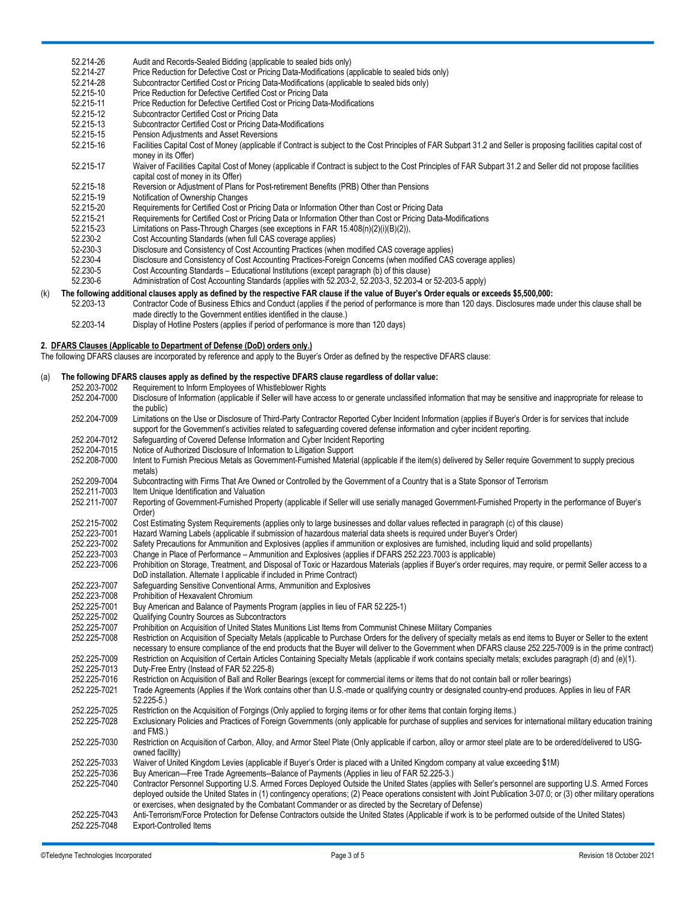|     | 52.214-26 | Audit and Records-Sealed Bidding (applicable to sealed bids only)                                                                                                                                                              |
|-----|-----------|--------------------------------------------------------------------------------------------------------------------------------------------------------------------------------------------------------------------------------|
|     | 52.214-27 | Price Reduction for Defective Cost or Pricing Data-Modifications (applicable to sealed bids only)                                                                                                                              |
|     | 52.214-28 | Subcontractor Certified Cost or Pricing Data-Modifications (applicable to sealed bids only)                                                                                                                                    |
|     | 52.215-10 | Price Reduction for Defective Certified Cost or Pricing Data                                                                                                                                                                   |
|     | 52.215-11 | Price Reduction for Defective Certified Cost or Pricing Data-Modifications                                                                                                                                                     |
|     | 52.215-12 | Subcontractor Certified Cost or Pricing Data                                                                                                                                                                                   |
|     | 52.215-13 | Subcontractor Certified Cost or Pricing Data-Modifications                                                                                                                                                                     |
|     | 52.215-15 | Pension Adjustments and Asset Reversions                                                                                                                                                                                       |
|     | 52.215-16 | Facilities Capital Cost of Money (applicable if Contract is subject to the Cost Principles of FAR Subpart 31.2 and Seller is proposing facilities capital cost of<br>money in its Offer)                                       |
|     | 52.215-17 | Waiver of Facilities Capital Cost of Money (applicable if Contract is subject to the Cost Principles of FAR Subpart 31.2 and Seller did not propose facilities<br>capital cost of money in its Offer)                          |
|     | 52.215-18 | Reversion or Adjustment of Plans for Post-retirement Benefits (PRB) Other than Pensions                                                                                                                                        |
|     | 52.215-19 | Notification of Ownership Changes                                                                                                                                                                                              |
|     | 52.215-20 | Requirements for Certified Cost or Pricing Data or Information Other than Cost or Pricing Data                                                                                                                                 |
|     | 52.215-21 | Requirements for Certified Cost or Pricing Data or Information Other than Cost or Pricing Data-Modifications                                                                                                                   |
|     | 52.215-23 | Limitations on Pass-Through Charges (see exceptions in FAR 15.408(n)(2)(i)(B)(2)),                                                                                                                                             |
|     | 52.230-2  | Cost Accounting Standards (when full CAS coverage applies)                                                                                                                                                                     |
|     | 52-230-3  | Disclosure and Consistency of Cost Accounting Practices (when modified CAS coverage applies)                                                                                                                                   |
|     | 52.230-4  | Disclosure and Consistency of Cost Accounting Practices-Foreign Concerns (when modified CAS coverage applies)                                                                                                                  |
|     | 52.230-5  | Cost Accounting Standards – Educational Institutions (except paragraph (b) of this clause)                                                                                                                                     |
|     | 52.230-6  | Administration of Cost Accounting Standards (applies with 52.203-2, 52.203-3, 52.203-4 or 52-203-5 apply)                                                                                                                      |
| (k) |           | The following additional clauses apply as defined by the respective FAR clause if the value of Buyer's Order equals or exceeds \$5,500,000:                                                                                    |
|     | 52.203-13 | Contractor Code of Business Ethics and Conduct (applies if the period of performance is more than 120 days. Disclosures made under this clause shall be<br>made directly to the Government entities identified in the clause.) |

52.203-14 Display of Hotline Posters (applies if period of performance is more than 120 days)

### **2. DFARS Clauses (Applicable to Department of Defense (DoD) orders only.)**

The following DFARS clauses are incorporated by reference and apply to the Buyer's Order as defined by the respective DFARS clause:

# (a) **The following DFARS clauses apply as defined by the respective DFARS clause regardless of dollar value:**

| 252.203-7002 | Requirement to Inform Employees of Whistleblower Rights                                                                                                                                                                                                                                                                     |
|--------------|-----------------------------------------------------------------------------------------------------------------------------------------------------------------------------------------------------------------------------------------------------------------------------------------------------------------------------|
| 252.204-7000 | Disclosure of Information (applicable if Seller will have access to or generate unclassified information that may be sensitive and inappropriate for release to                                                                                                                                                             |
|              |                                                                                                                                                                                                                                                                                                                             |
| 252.204-7009 | the public)<br>Limitations on the Use or Disclosure of Third-Party Contractor Reported Cyber Incident Information (applies if Buyer's Order is for services that include                                                                                                                                                    |
|              |                                                                                                                                                                                                                                                                                                                             |
|              | support for the Government's activities related to safeguarding covered defense information and cyber incident reporting.                                                                                                                                                                                                   |
| 252.204-7012 | Safeguarding of Covered Defense Information and Cyber Incident Reporting                                                                                                                                                                                                                                                    |
| 252.204-7015 | Notice of Authorized Disclosure of Information to Litigation Support                                                                                                                                                                                                                                                        |
| 252.208-7000 | Intent to Furnish Precious Metals as Government-Furnished Material (applicable if the item(s) delivered by Seller require Government to supply precious<br>metals)                                                                                                                                                          |
| 252.209-7004 | Subcontracting with Firms That Are Owned or Controlled by the Government of a Country that is a State Sponsor of Terrorism                                                                                                                                                                                                  |
| 252.211-7003 | Item Unique Identification and Valuation                                                                                                                                                                                                                                                                                    |
| 252.211-7007 | Reporting of Government-Furnished Property (applicable if Seller will use serially managed Government-Furnished Property in the performance of Buyer's<br>Order)                                                                                                                                                            |
| 252.215-7002 | Cost Estimating System Requirements (applies only to large businesses and dollar values reflected in paragraph (c) of this clause)                                                                                                                                                                                          |
| 252.223-7001 | Hazard Warning Labels (applicable if submission of hazardous material data sheets is required under Buyer's Order)                                                                                                                                                                                                          |
| 252.223-7002 | Safety Precautions for Ammunition and Explosives (applies if ammunition or explosives are furnished, including liquid and solid propellants)                                                                                                                                                                                |
| 252.223-7003 | Change in Place of Performance – Ammunition and Explosives (applies if DFARS 252.223.7003 is applicable)                                                                                                                                                                                                                    |
| 252.223-7006 | Prohibition on Storage, Treatment, and Disposal of Toxic or Hazardous Materials (applies if Buyer's order requires, may require, or permit Seller access to a                                                                                                                                                               |
|              | DoD installation. Alternate I applicable if included in Prime Contract)                                                                                                                                                                                                                                                     |
| 252.223-7007 | Safeguarding Sensitive Conventional Arms, Ammunition and Explosives                                                                                                                                                                                                                                                         |
| 252.223-7008 | Prohibition of Hexavalent Chromium                                                                                                                                                                                                                                                                                          |
| 252.225-7001 | Buy American and Balance of Payments Program (applies in lieu of FAR 52.225-1)                                                                                                                                                                                                                                              |
| 252.225-7002 | Qualifying Country Sources as Subcontractors                                                                                                                                                                                                                                                                                |
| 252.225-7007 | Prohibition on Acquisition of United States Munitions List Items from Communist Chinese Military Companies                                                                                                                                                                                                                  |
| 252.225-7008 | Restriction on Acquisition of Specialty Metals (applicable to Purchase Orders for the delivery of specialty metals as end items to Buyer or Seller to the extent                                                                                                                                                            |
|              | necessary to ensure compliance of the end products that the Buyer will deliver to the Government when DFARS clause 252.225-7009 is in the prime contract)                                                                                                                                                                   |
| 252.225-7009 | Restriction on Acquisition of Certain Articles Containing Specialty Metals (applicable if work contains specialty metals; excludes paragraph (d) and (e)(1).                                                                                                                                                                |
| 252.225-7013 | Duty-Free Entry (Instead of FAR 52.225-8)                                                                                                                                                                                                                                                                                   |
| 252.225-7016 | Restriction on Acquisition of Ball and Roller Bearings (except for commercial items or items that do not contain ball or roller bearings)                                                                                                                                                                                   |
| 252.225-7021 | Trade Agreements (Applies if the Work contains other than U.S.-made or qualifying country or designated country-end produces. Applies in lieu of FAR<br>$52.225-5.$                                                                                                                                                         |
| 252.225-7025 | Restriction on the Acquisition of Forgings (Only applied to forging items or for other items that contain forging items.)                                                                                                                                                                                                   |
| 252.225-7028 | Exclusionary Policies and Practices of Foreign Governments (only applicable for purchase of supplies and services for international military education training                                                                                                                                                             |
|              | and FMS.)                                                                                                                                                                                                                                                                                                                   |
| 252.225-7030 | Restriction on Acquisition of Carbon, Alloy, and Armor Steel Plate (Only applicable if carbon, alloy or armor steel plate are to be ordered/delivered to USG-                                                                                                                                                               |
|              | owned facility)                                                                                                                                                                                                                                                                                                             |
| 252.225-7033 | Waiver of United Kingdom Levies (applicable if Buyer's Order is placed with a United Kingdom company at value exceeding \$1M)                                                                                                                                                                                               |
| 252.225-7036 | Buy American-Free Trade Agreements--Balance of Payments (Applies in lieu of FAR 52.225-3.)                                                                                                                                                                                                                                  |
| 252.225-7040 | Contractor Personnel Supporting U.S. Armed Forces Deployed Outside the United States (applies with Seller's personnel are supporting U.S. Armed Forces<br>deployed outside the United States in (1) contingency operations; (2) Peace operations consistent with Joint Publication 3-07.0; or (3) other military operations |
|              | or exercises, when designated by the Combatant Commander or as directed by the Secretary of Defense)                                                                                                                                                                                                                        |
| 252.225-7043 | Anti-Terrorism/Force Protection for Defense Contractors outside the United States (Applicable if work is to be performed outside of the United States)                                                                                                                                                                      |
| 252.225-7048 | <b>Export-Controlled Items</b>                                                                                                                                                                                                                                                                                              |
|              |                                                                                                                                                                                                                                                                                                                             |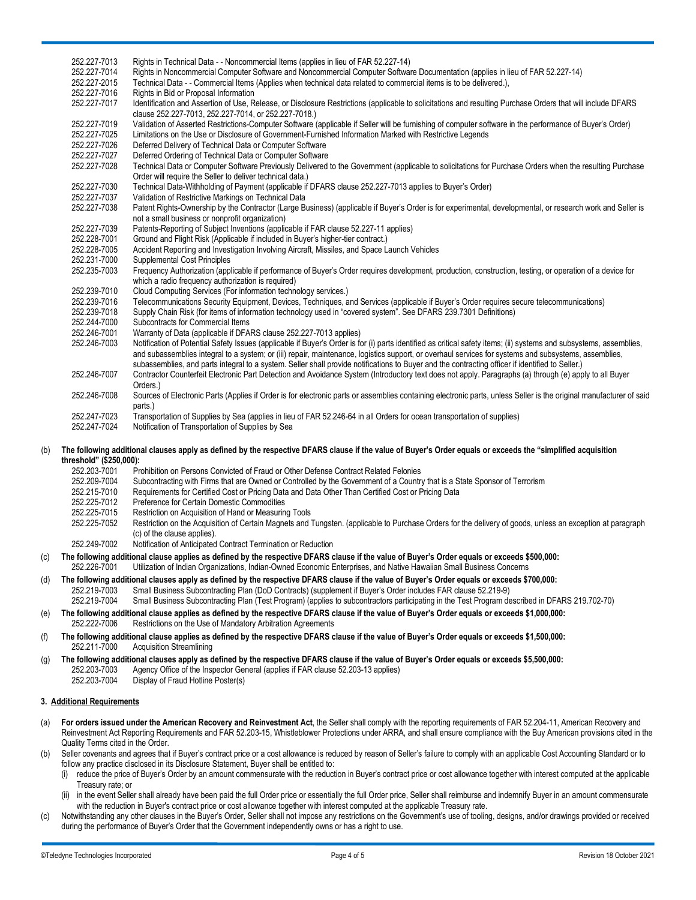|     | 252.227-7013<br>252.227-7014<br>252.227-2015 | Rights in Technical Data - - Noncommercial Items (applies in lieu of FAR 52.227-14)<br>Rights in Noncommercial Computer Software and Noncommercial Computer Software Documentation (applies in lieu of FAR 52.227-14)<br>Technical Data - - Commercial Items (Applies when technical data related to commercial items is to be delivered.),                                                                                                                                      |
|-----|----------------------------------------------|----------------------------------------------------------------------------------------------------------------------------------------------------------------------------------------------------------------------------------------------------------------------------------------------------------------------------------------------------------------------------------------------------------------------------------------------------------------------------------|
|     | 252.227-7016                                 | Rights in Bid or Proposal Information                                                                                                                                                                                                                                                                                                                                                                                                                                            |
|     | 252.227-7017                                 | Identification and Assertion of Use, Release, or Disclosure Restrictions (applicable to solicitations and resulting Purchase Orders that will include DFARS<br>clause 252.227-7013, 252.227-7014, or 252.227-7018.)                                                                                                                                                                                                                                                              |
|     | 252.227-7019                                 | Validation of Asserted Restrictions-Computer Software (applicable if Seller will be furnishing of computer software in the performance of Buyer's Order)                                                                                                                                                                                                                                                                                                                         |
|     | 252.227-7025                                 | Limitations on the Use or Disclosure of Government-Furnished Information Marked with Restrictive Legends                                                                                                                                                                                                                                                                                                                                                                         |
|     | 252.227-7026                                 | Deferred Delivery of Technical Data or Computer Software                                                                                                                                                                                                                                                                                                                                                                                                                         |
|     | 252.227-7027                                 | Deferred Ordering of Technical Data or Computer Software                                                                                                                                                                                                                                                                                                                                                                                                                         |
|     | 252.227-7028                                 | Technical Data or Computer Software Previously Delivered to the Government (applicable to solicitations for Purchase Orders when the resulting Purchase<br>Order will require the Seller to deliver technical data.)                                                                                                                                                                                                                                                             |
|     | 252.227-7030<br>252.227-7037                 | Technical Data-Withholding of Payment (applicable if DFARS clause 252.227-7013 applies to Buyer's Order)<br>Validation of Restrictive Markings on Technical Data                                                                                                                                                                                                                                                                                                                 |
|     | 252.227-7038                                 | Patent Rights-Ownership by the Contractor (Large Business) (applicable if Buyer's Order is for experimental, developmental, or research work and Seller is                                                                                                                                                                                                                                                                                                                       |
|     | 252.227-7039                                 | not a small business or nonprofit organization)<br>Patents-Reporting of Subject Inventions (applicable if FAR clause 52.227-11 applies)                                                                                                                                                                                                                                                                                                                                          |
|     | 252.228-7001                                 | Ground and Flight Risk (Applicable if included in Buyer's higher-tier contract.)                                                                                                                                                                                                                                                                                                                                                                                                 |
|     | 252.228-7005                                 | Accident Reporting and Investigation Involving Aircraft, Missiles, and Space Launch Vehicles                                                                                                                                                                                                                                                                                                                                                                                     |
|     | 252.231-7000                                 | Supplemental Cost Principles                                                                                                                                                                                                                                                                                                                                                                                                                                                     |
|     | 252.235-7003                                 | Frequency Authorization (applicable if performance of Buyer's Order requires development, production, construction, testing, or operation of a device for<br>which a radio frequency authorization is required)                                                                                                                                                                                                                                                                  |
|     | 252.239-7010                                 | Cloud Computing Services (For information technology services.)                                                                                                                                                                                                                                                                                                                                                                                                                  |
|     | 252.239-7016                                 | Telecommunications Security Equipment, Devices, Techniques, and Services (applicable if Buyer's Order requires secure telecommunications)                                                                                                                                                                                                                                                                                                                                        |
|     | 252.239-7018<br>252.244-7000                 | Supply Chain Risk (for items of information technology used in "covered system". See DFARS 239.7301 Definitions)<br>Subcontracts for Commercial Items                                                                                                                                                                                                                                                                                                                            |
|     | 252.246-7001                                 | Warranty of Data (applicable if DFARS clause 252.227-7013 applies)                                                                                                                                                                                                                                                                                                                                                                                                               |
|     | 252.246-7003                                 | Notification of Potential Safety Issues (applicable if Buyer's Order is for (i) parts identified as critical safety items; (ii) systems and subsystems, assemblies,<br>and subassemblies integral to a system; or (iii) repair, maintenance, logistics support, or overhaul services for systems and subsystems, assemblies,<br>subassemblies, and parts integral to a system. Seller shall provide notifications to Buyer and the contracting officer if identified to Seller.) |
|     | 252.246-7007                                 | Contractor Counterfeit Electronic Part Detection and Avoidance System (Introductory text does not apply. Paragraphs (a) through (e) apply to all Buyer<br>Orders.)                                                                                                                                                                                                                                                                                                               |
|     | 252.246-7008                                 | Sources of Electronic Parts (Applies if Order is for electronic parts or assemblies containing electronic parts, unless Seller is the original manufacturer of said<br>parts.)                                                                                                                                                                                                                                                                                                   |
|     | 252.247-7023<br>252.247-7024                 | Transportation of Supplies by Sea (applies in lieu of FAR 52.246-64 in all Orders for ocean transportation of supplies)<br>Notification of Transportation of Supplies by Sea                                                                                                                                                                                                                                                                                                     |
| (b) |                                              | The following additional clauses apply as defined by the respective DFARS clause if the value of Buyer's Order equals or exceeds the "simplified acquisition                                                                                                                                                                                                                                                                                                                     |
|     | threshold" (\$250,000):<br>252.203-7001      | Prohibition on Persons Convicted of Fraud or Other Defense Contract Related Felonies                                                                                                                                                                                                                                                                                                                                                                                             |
|     | 252.209-7004                                 | Subcontracting with Firms that are Owned or Controlled by the Government of a Country that is a State Sponsor of Terrorism                                                                                                                                                                                                                                                                                                                                                       |
|     | 252.215-7010                                 | Requirements for Certified Cost or Pricing Data and Data Other Than Certified Cost or Pricing Data                                                                                                                                                                                                                                                                                                                                                                               |
|     | 252.225-7012                                 | Preference for Certain Domestic Commodities                                                                                                                                                                                                                                                                                                                                                                                                                                      |
|     | 252.225-7015                                 | Restriction on Acquisition of Hand or Measuring Tools                                                                                                                                                                                                                                                                                                                                                                                                                            |
|     | 252.225-7052                                 | Restriction on the Acquisition of Certain Magnets and Tungsten. (applicable to Purchase Orders for the delivery of goods, unless an exception at paragraph                                                                                                                                                                                                                                                                                                                       |
|     | 252.249-7002                                 | (c) of the clause applies).<br>Notification of Anticipated Contract Termination or Reduction                                                                                                                                                                                                                                                                                                                                                                                     |
|     |                                              | The following additional clause applies as defined by the respective DFARS clause if the value of Buyer's Order equals or exceeds \$500,000:                                                                                                                                                                                                                                                                                                                                     |
| (c) | 252.226-7001                                 | Utilization of Indian Organizations, Indian-Owned Economic Enterprises, and Native Hawaiian Small Business Concerns                                                                                                                                                                                                                                                                                                                                                              |
| (d) | 252.219-7003<br>252.219-7004                 | The following additional clauses apply as defined by the respective DFARS clause if the value of Buyer's Order equals or exceeds \$700,000:<br>Small Business Subcontracting Plan (DoD Contracts) (supplement if Buyer's Order includes FAR clause 52.219-9)<br>Small Business Subcontracting Plan (Test Program) (applies to subcontractors participating in the Test Program described in DFARS 219.702-70)                                                                    |
| (e) | 252.222-7006                                 | The following additional clause applies as defined by the respective DFARS clause if the value of Buyer's Order equals or exceeds \$1,000,000:<br>Restrictions on the Use of Mandatory Arbitration Agreements                                                                                                                                                                                                                                                                    |
| (f) | 252.211-7000                                 | The following additional clause applies as defined by the respective DFARS clause if the value of Buyer's Order equals or exceeds \$1,500,000:<br><b>Acquisition Streamlining</b>                                                                                                                                                                                                                                                                                                |
| (g) | 252.203-7003<br>252.203-7004                 | The following additional clauses apply as defined by the respective DFARS clause if the value of Buyer's Order equals or exceeds \$5,500,000:<br>Agency Office of the Inspector General (applies if FAR clause 52.203-13 applies)<br>Display of Fraud Hotline Poster(s)                                                                                                                                                                                                          |

# **3. Additional Requirements**

- (a) **For orders issued under the American Recovery and Reinvestment Act**, the Seller shall comply with the reporting requirements of FAR 52.204-11, American Recovery and Reinvestment Act Reporting Requirements and FAR 52.203-15, Whistleblower Protections under ARRA, and shall ensure compliance with the Buy American provisions cited in the Quality Terms cited in the Order.
- (b) Seller covenants and agrees that if Buyer's contract price or a cost allowance is reduced by reason of Seller's failure to comply with an applicable Cost Accounting Standard or to follow any practice disclosed in its Disclosure Statement, Buyer shall be entitled to:
	- (i) reduce the price of Buyer's Order by an amount commensurate with the reduction in Buyer's contract price or cost allowance together with interest computed at the applicable Treasury rate; or
	- (ii) in the event Seller shall already have been paid the full Order price or essentially the full Order price, Seller shall reimburse and indemnify Buyer in an amount commensurate with the reduction in Buyer's contract price or cost allowance together with interest computed at the applicable Treasury rate.
- (c) Notwithstanding any other clauses in the Buyer's Order, Seller shall not impose any restrictions on the Government's use of tooling, designs, and/or drawings provided or received during the performance of Buyer's Order that the Government independently owns or has a right to use.